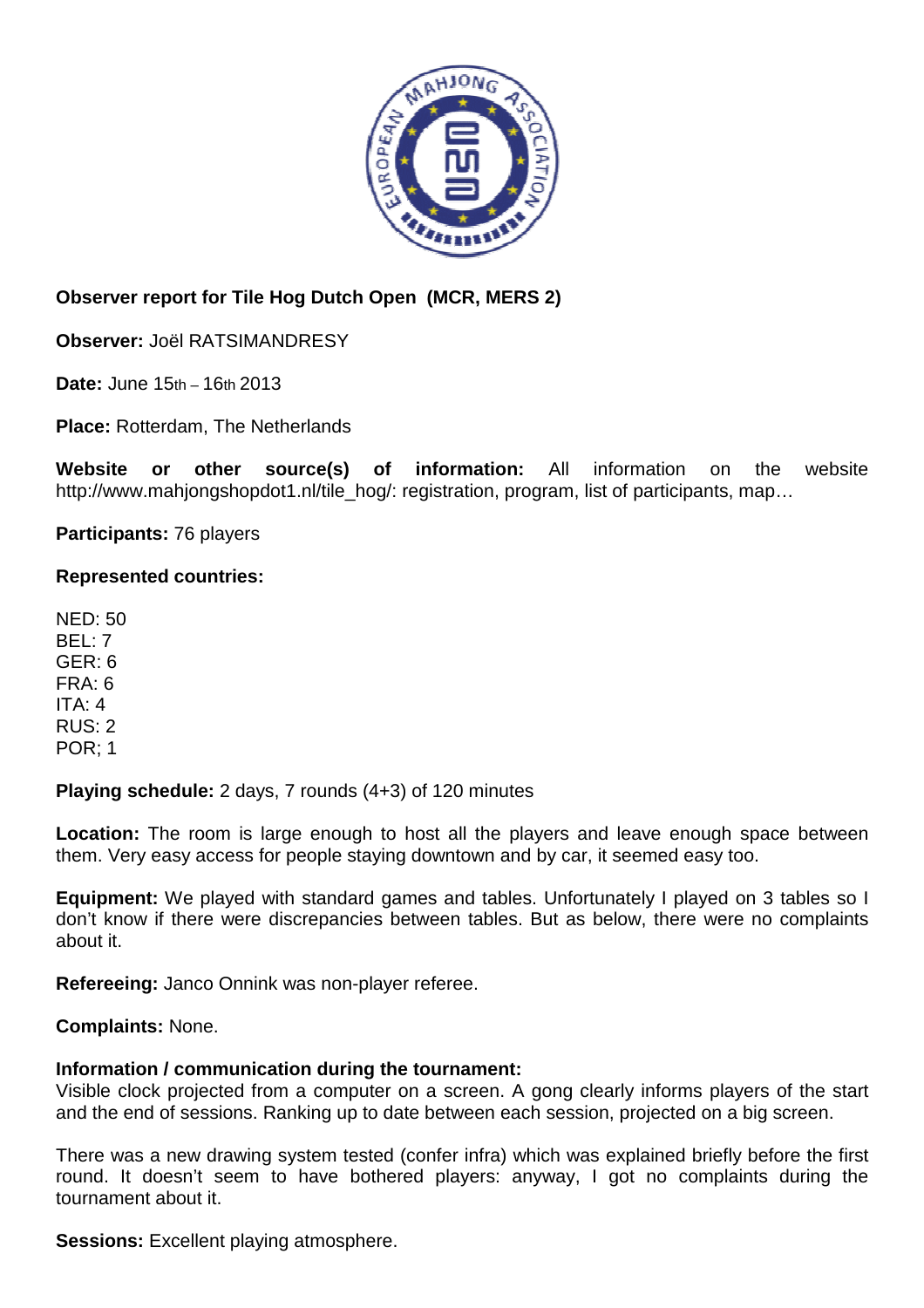

## **Observer report for Tile Hog Dutch Open (MCR, MERS 2)**

**Observer:** Joël RATSIMANDRESY

**Date:** June 15th – 16th 2013

**Place:** Rotterdam, The Netherlands

**Website or other source(s) of information:** All information on the website http://www.mahjongshopdot1.nl/tile\_hog/: registration, program, list of participants, map...

**Participants:** 76 players

## **Represented countries:**

NED: 50 BEL: 7 GER: 6 FRA: 6 ITA: 4 RUS: 2 POR; 1

**Playing schedule:** 2 days, 7 rounds (4+3) of 120 minutes

Location: The room is large enough to host all the players and leave enough space between them. Very easy access for people staying downtown and by car, it seemed easy too.

**Equipment:** We played with standard games and tables. Unfortunately I played on 3 tables so I don't know if there were discrepancies between tables. But as below, there were no complaints about it.

**Refereeing:** Janco Onnink was non-player referee.

**Complaints:** None.

## **Information / communication during the tournament:**

Visible clock projected from a computer on a screen. A gong clearly informs players of the start and the end of sessions. Ranking up to date between each session, projected on a big screen.

There was a new drawing system tested (confer infra) which was explained briefly before the first round. It doesn't seem to have bothered players: anyway, I got no complaints during the tournament about it.

**Sessions:** Excellent playing atmosphere.